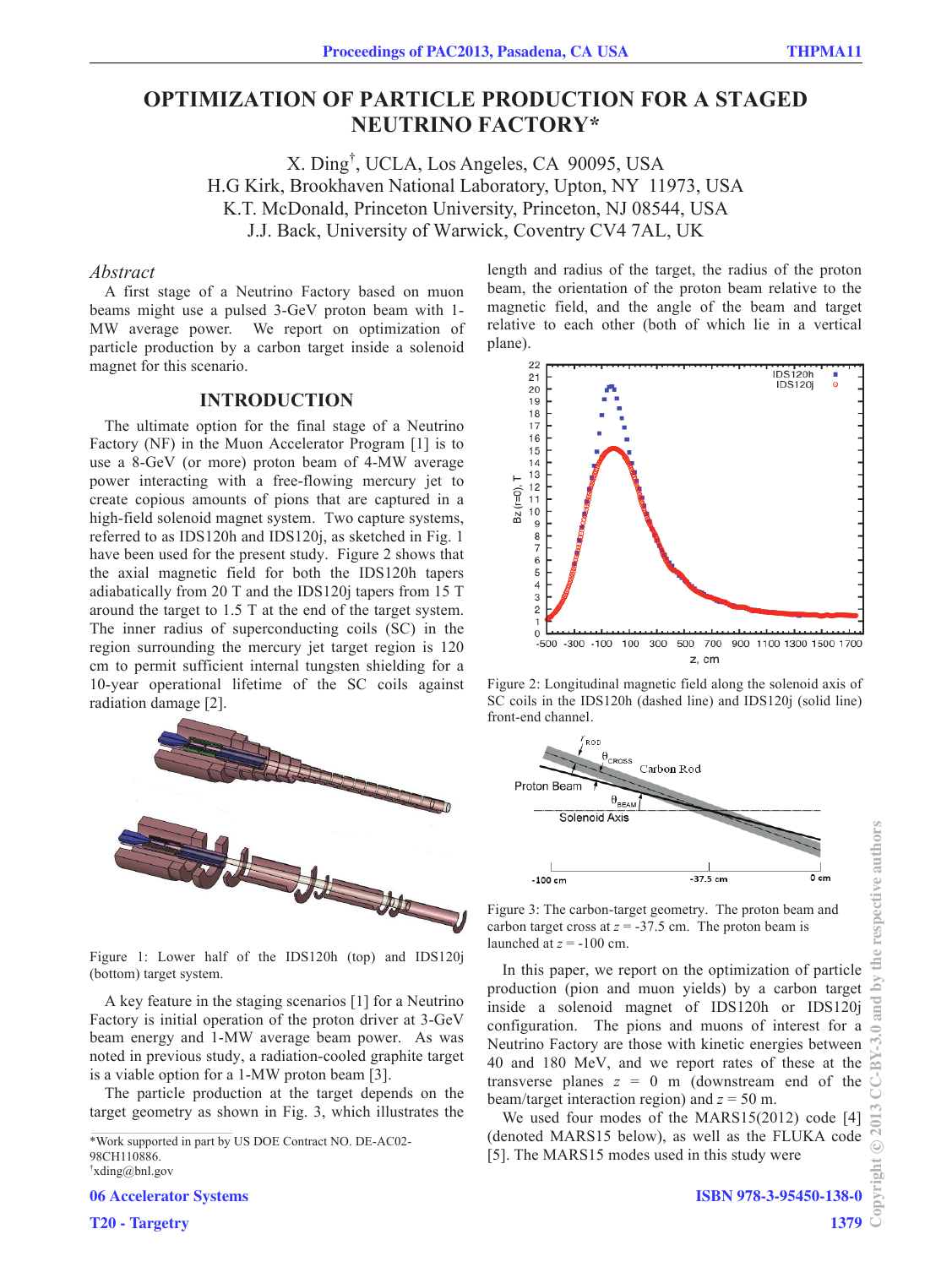# **OPTIMIZATION OF PARTICLE PRODUCTION FOR A STAGED NEUTRINO FACTORY\***

X. Ding† , UCLA, Los Angeles, CA 90095, USA H.G Kirk, Brookhaven National Laboratory, Upton, NY 11973, USA K.T. McDonald, Princeton University, Princeton, NJ 08544, USA J.J. Back, University of Warwick, Coventry CV4 7AL, UK

### *Abstract*

A first stage of a Neutrino Factory based on muon beams might use a pulsed 3-GeV proton beam with 1- MW average power. We report on optimization of particle production by a carbon target inside a solenoid magnet for this scenario.

### **INTRODUCTION**

The ultimate option for the final stage of a Neutrino Factory (NF) in the Muon Accelerator Program [1] is to use a 8-GeV (or more) proton beam of 4-MW average power interacting with a free-flowing mercury jet to create copious amounts of pions that are captured in a high-field solenoid magnet system. Two capture systems, referred to as IDS120h and IDS120j, as sketched in Fig. 1 have been used for the present study. Figure 2 shows that the axial magnetic field for both the IDS120h tapers adiabatically from 20 T and the IDS120j tapers from 15 T around the target to 1.5 T at the end of the target system. The inner radius of superconducting coils (SC) in the region surrounding the mercury jet target region is 120 cm to permit sufficient internal tungsten shielding for a 10-year operational lifetime of the SC coils against radiation damage [2].



Figure 1: Lower half of the IDS120h (top) and IDS120j (bottom) target system.

A key feature in the staging scenarios [1] for a Neutrino Factory is initial operation of the proton driver at 3-GeV beam energy and 1-MW average beam power. As was noted in previous study, a radiation-cooled graphite target is a viable option for a 1-MW proton beam [3].

The particle production at the target depends on the target geometry as shown in Fig. 3, which illustrates the

\*Work supported in part by US DOE Contract NO. DE-AC02- 98CH110886.

† xding@bnl.gov

06 Accelerator Systems

length and radius of the target, the radius of the proton beam, the orientation of the proton beam relative to the magnetic field, and the angle of the beam and target relative to each other (both of which lie in a vertical plane).



Figure 2: Longitudinal magnetic field along the solenoid axis of SC coils in the IDS120h (dashed line) and IDS120j (solid line) front-end channel.



Figure 3: The carbon-target geometry. The proton beam and carbon target cross at  $z = -37.5$  cm. The proton beam is launched at  $z = -100$  cm.

In this paper, we report on the optimization of particle production (pion and muon yields) by a carbon target inside a solenoid magnet of IDS120h or IDS120j configuration. The pions and muons of interest for a Neutrino Factory are those with kinetic energies between 40 and 180 MeV, and we report rates of these at the transverse planes  $z = 0$  m (downstream end of the beam/target interaction region) and *z* = 50 m.

We used four modes of the MARS15(2012) code [4] (denoted MARS15 below), as well as the FLUKA code [5]. The MARS15 modes used in this study were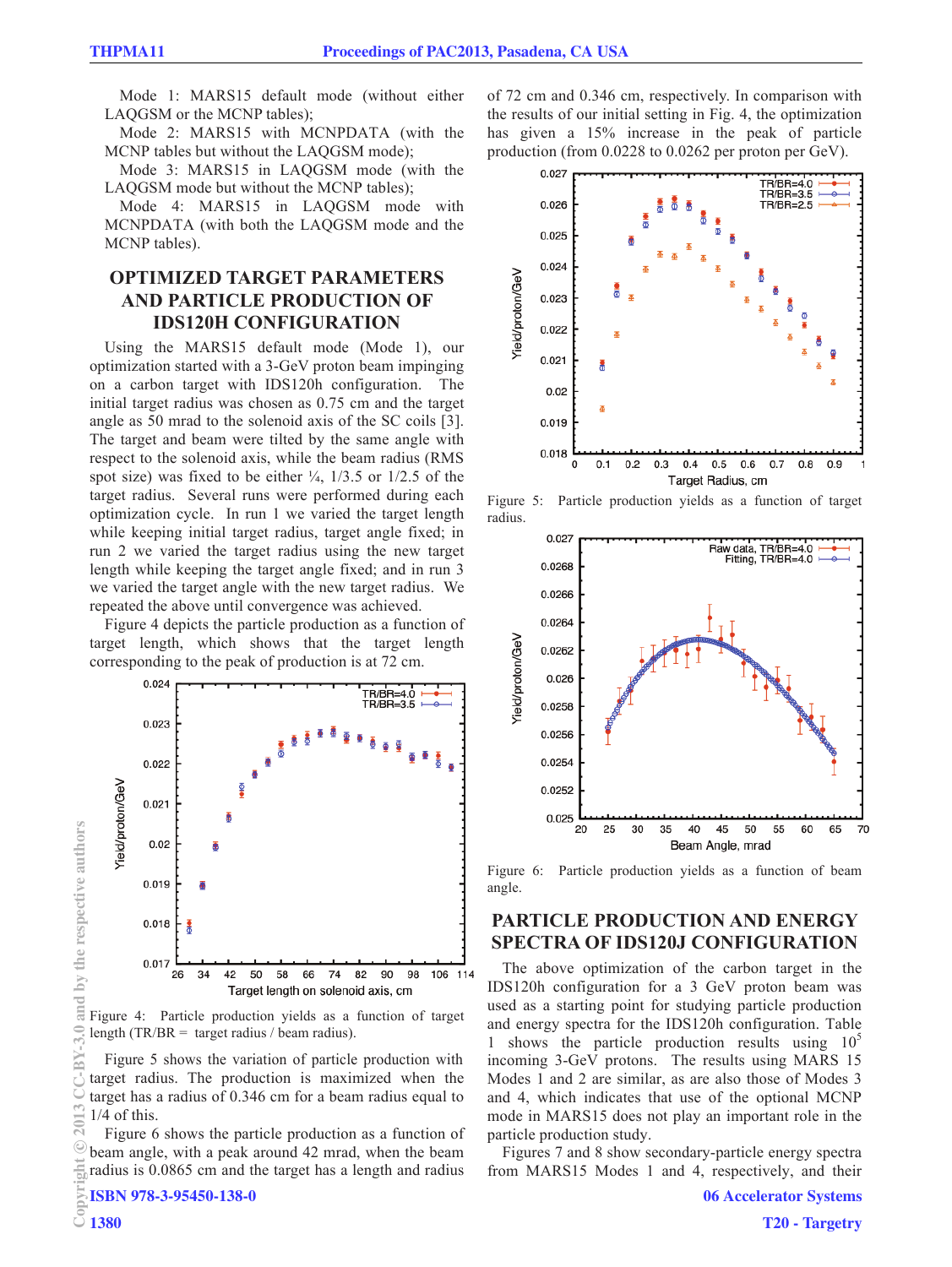Mode 1: MARS15 default mode (without either LAQGSM or the MCNP tables);

Mode 2: MARS15 with MCNPDATA (with the MCNP tables but without the LAQGSM mode);

Mode 3: MARS15 in LAQGSM mode (with the LAQGSM mode but without the MCNP tables);

Mode 4: MARS15 in LAQGSM mode with MCNPDATA (with both the LAQGSM mode and the MCNP tables).

## **OPTIMIZED TARGET PARAMETERS AND PARTICLE PRODUCTION OF IDS120H CONFIGURATION**

Using the MARS15 default mode (Mode 1), our optimization started with a 3-GeV proton beam impinging on a carbon target with IDS120h configuration. The initial target radius was chosen as 0.75 cm and the target angle as 50 mrad to the solenoid axis of the SC coils [3]. The target and beam were tilted by the same angle with respect to the solenoid axis, while the beam radius (RMS spot size) was fixed to be either  $\frac{1}{4}$ , 1/3.5 or 1/2.5 of the target radius. Several runs were performed during each optimization cycle. In run 1 we varied the target length while keeping initial target radius, target angle fixed; in run 2 we varied the target radius using the new target length while keeping the target angle fixed; and in run 3 we varied the target angle with the new target radius. We repeated the above until convergence was achieved.

Figure 4 depicts the particle production as a function of target length, which shows that the target length corresponding to the peak of production is at 72 cm.



Figure 4: Particle production yields as a function of target length (TR/BR = target radius / beam radius).

Figure 5 shows the variation of particle production with target radius. The production is maximized when the target has a radius of 0.346 cm for a beam radius equal to 1/4 of this.

Figure 6 shows the particle production as a function of beam angle, with a peak around 42 mrad, when the beam Formulation is 0.0865 cm and the target has a length and radius  $\frac{1}{25}$  ISBN 978-3-95450-138-0<br>
1380

ISBN 978-3-95450-138-0

of 72 cm and 0.346 cm, respectively. In comparison with the results of our initial setting in Fig. 4, the optimization has given a 15% increase in the peak of particle production (from 0.0228 to 0.0262 per proton per GeV).



Figure 5: Particle production yields as a function of target radius.



Figure 6: Particle production yields as a function of beam angle.

### **PARTICLE PRODUCTION AND ENERGY SPECTRA OF IDS120J CONFIGURATION**

The above optimization of the carbon target in the IDS120h configuration for a 3 GeV proton beam was used as a starting point for studying particle production and energy spectra for the IDS120h configuration. Table 1 shows the particle production results using  $10^5$ incoming 3-GeV protons. The results using MARS 15 Modes 1 and 2 are similar, as are also those of Modes 3 and 4, which indicates that use of the optional MCNP mode in MARS15 does not play an important role in the particle production study.

Figures 7 and 8 show secondary-particle energy spectra from MARS15 Modes 1 and 4, respectively, and their